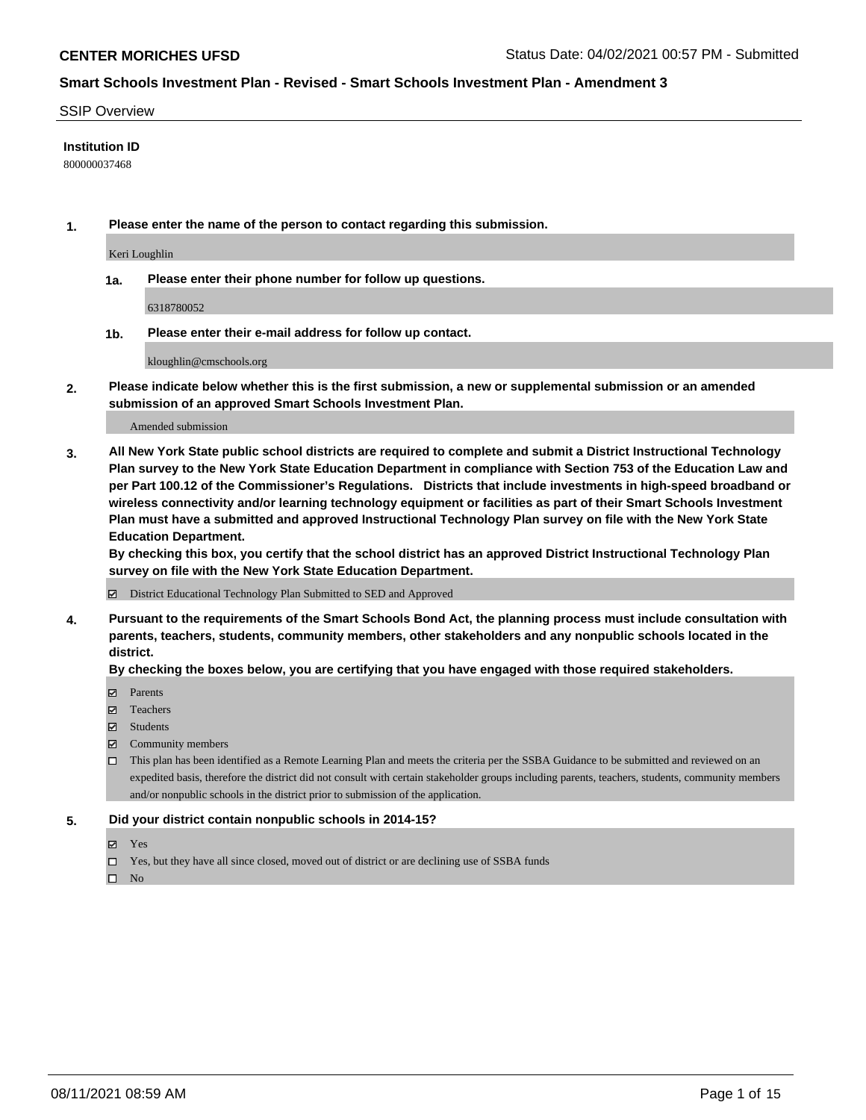#### SSIP Overview

## **Institution ID**

800000037468

**1. Please enter the name of the person to contact regarding this submission.**

Keri Loughlin

**1a. Please enter their phone number for follow up questions.**

6318780052

**1b. Please enter their e-mail address for follow up contact.**

kloughlin@cmschools.org

**2. Please indicate below whether this is the first submission, a new or supplemental submission or an amended submission of an approved Smart Schools Investment Plan.**

#### Amended submission

**3. All New York State public school districts are required to complete and submit a District Instructional Technology Plan survey to the New York State Education Department in compliance with Section 753 of the Education Law and per Part 100.12 of the Commissioner's Regulations. Districts that include investments in high-speed broadband or wireless connectivity and/or learning technology equipment or facilities as part of their Smart Schools Investment Plan must have a submitted and approved Instructional Technology Plan survey on file with the New York State Education Department.** 

**By checking this box, you certify that the school district has an approved District Instructional Technology Plan survey on file with the New York State Education Department.**

District Educational Technology Plan Submitted to SED and Approved

**4. Pursuant to the requirements of the Smart Schools Bond Act, the planning process must include consultation with parents, teachers, students, community members, other stakeholders and any nonpublic schools located in the district.** 

#### **By checking the boxes below, you are certifying that you have engaged with those required stakeholders.**

- **Parents**
- Teachers
- Students
- $\boxtimes$  Community members
- This plan has been identified as a Remote Learning Plan and meets the criteria per the SSBA Guidance to be submitted and reviewed on an expedited basis, therefore the district did not consult with certain stakeholder groups including parents, teachers, students, community members and/or nonpublic schools in the district prior to submission of the application.
- **5. Did your district contain nonpublic schools in 2014-15?**
	- Yes
	- □ Yes, but they have all since closed, moved out of district or are declining use of SSBA funds

 $\hfill \square$  No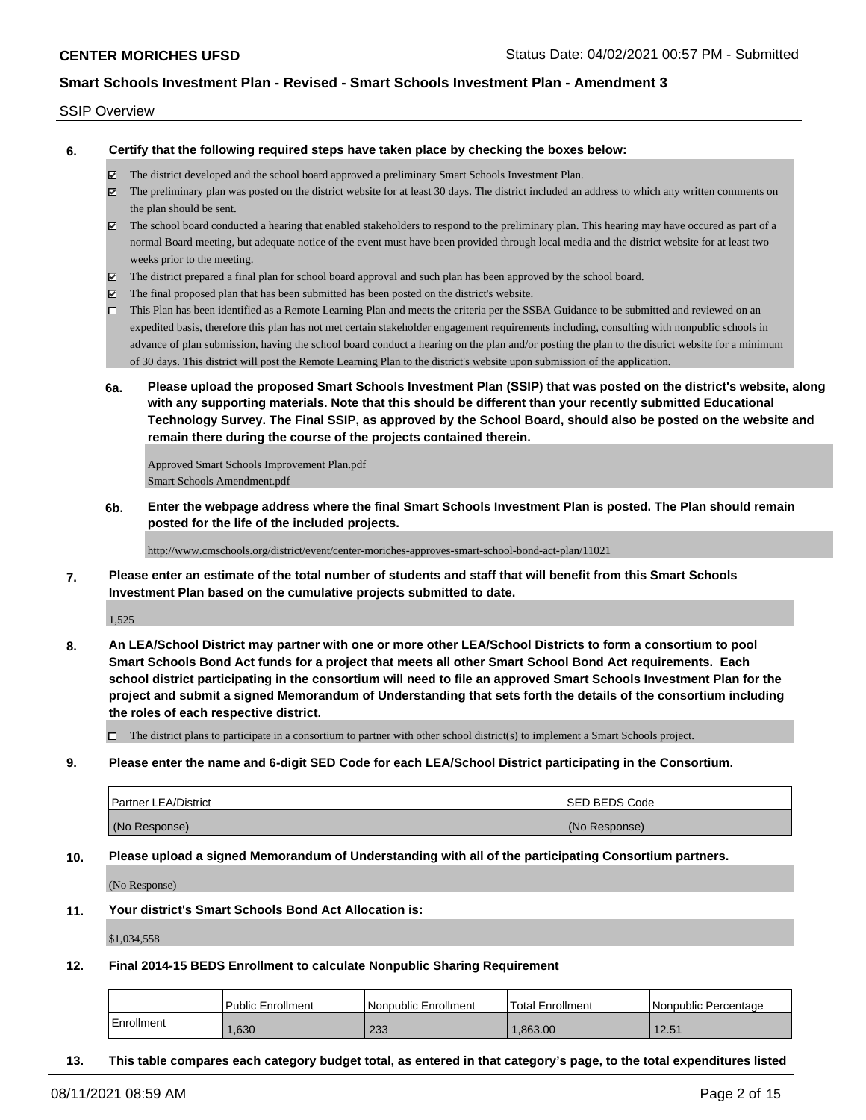## SSIP Overview

**6. Certify that the following required steps have taken place by checking the boxes below:**

- The district developed and the school board approved a preliminary Smart Schools Investment Plan.
- The preliminary plan was posted on the district website for at least 30 days. The district included an address to which any written comments on the plan should be sent.
- The school board conducted a hearing that enabled stakeholders to respond to the preliminary plan. This hearing may have occured as part of a normal Board meeting, but adequate notice of the event must have been provided through local media and the district website for at least two weeks prior to the meeting.
- The district prepared a final plan for school board approval and such plan has been approved by the school board.
- $\boxtimes$  The final proposed plan that has been submitted has been posted on the district's website.
- This Plan has been identified as a Remote Learning Plan and meets the criteria per the SSBA Guidance to be submitted and reviewed on an expedited basis, therefore this plan has not met certain stakeholder engagement requirements including, consulting with nonpublic schools in advance of plan submission, having the school board conduct a hearing on the plan and/or posting the plan to the district website for a minimum of 30 days. This district will post the Remote Learning Plan to the district's website upon submission of the application.
- **6a. Please upload the proposed Smart Schools Investment Plan (SSIP) that was posted on the district's website, along with any supporting materials. Note that this should be different than your recently submitted Educational Technology Survey. The Final SSIP, as approved by the School Board, should also be posted on the website and remain there during the course of the projects contained therein.**

Approved Smart Schools Improvement Plan.pdf Smart Schools Amendment.pdf

**6b. Enter the webpage address where the final Smart Schools Investment Plan is posted. The Plan should remain posted for the life of the included projects.**

http://www.cmschools.org/district/event/center-moriches-approves-smart-school-bond-act-plan/11021

**7. Please enter an estimate of the total number of students and staff that will benefit from this Smart Schools Investment Plan based on the cumulative projects submitted to date.**

1,525

**8. An LEA/School District may partner with one or more other LEA/School Districts to form a consortium to pool Smart Schools Bond Act funds for a project that meets all other Smart School Bond Act requirements. Each school district participating in the consortium will need to file an approved Smart Schools Investment Plan for the project and submit a signed Memorandum of Understanding that sets forth the details of the consortium including the roles of each respective district.**

 $\Box$  The district plans to participate in a consortium to partner with other school district(s) to implement a Smart Schools project.

**9. Please enter the name and 6-digit SED Code for each LEA/School District participating in the Consortium.**

| <b>Partner LEA/District</b> | <b>ISED BEDS Code</b> |
|-----------------------------|-----------------------|
| (No Response)               | (No Response)         |

**10. Please upload a signed Memorandum of Understanding with all of the participating Consortium partners.**

(No Response)

**11. Your district's Smart Schools Bond Act Allocation is:**

\$1,034,558

**12. Final 2014-15 BEDS Enrollment to calculate Nonpublic Sharing Requirement**

|            | <b>Public Enrollment</b> | Nonpublic Enrollment | Total Enrollment | l Nonpublic Percentage |
|------------|--------------------------|----------------------|------------------|------------------------|
| Enrollment | .630                     | 233                  | .863.00          | 12.51                  |

**13. This table compares each category budget total, as entered in that category's page, to the total expenditures listed**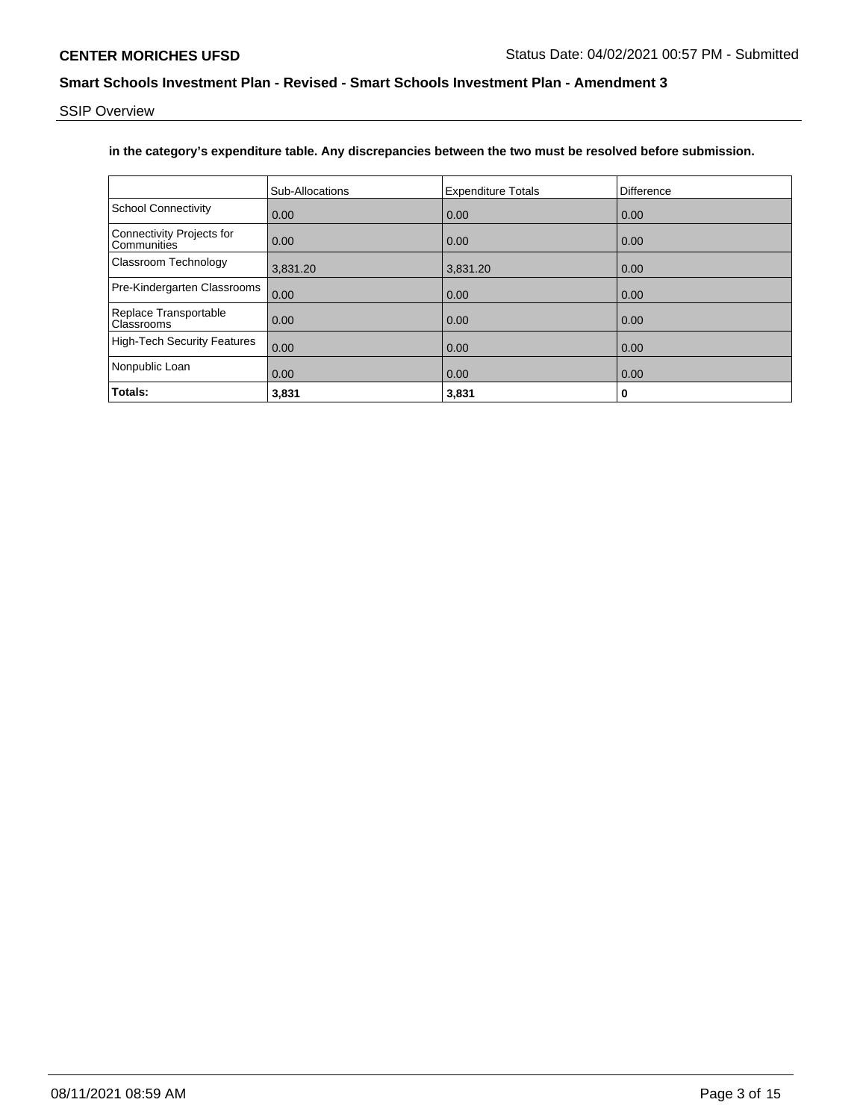SSIP Overview

## **in the category's expenditure table. Any discrepancies between the two must be resolved before submission.**

|                                                 | Sub-Allocations | <b>Expenditure Totals</b> | Difference |
|-------------------------------------------------|-----------------|---------------------------|------------|
| <b>School Connectivity</b>                      | 0.00            | 0.00                      | 0.00       |
| <b>Connectivity Projects for</b><br>Communities | 0.00            | 0.00                      | 0.00       |
| Classroom Technology                            | 3,831.20        | 3,831.20                  | 0.00       |
| Pre-Kindergarten Classrooms                     | 0.00            | 0.00                      | 0.00       |
| Replace Transportable<br>Classrooms             | 0.00            | 0.00                      | 0.00       |
| <b>High-Tech Security Features</b>              | 0.00            | 0.00                      | 0.00       |
| Nonpublic Loan                                  | 0.00            | 0.00                      | 0.00       |
| Totals:                                         | 3,831           | 3,831                     | 0          |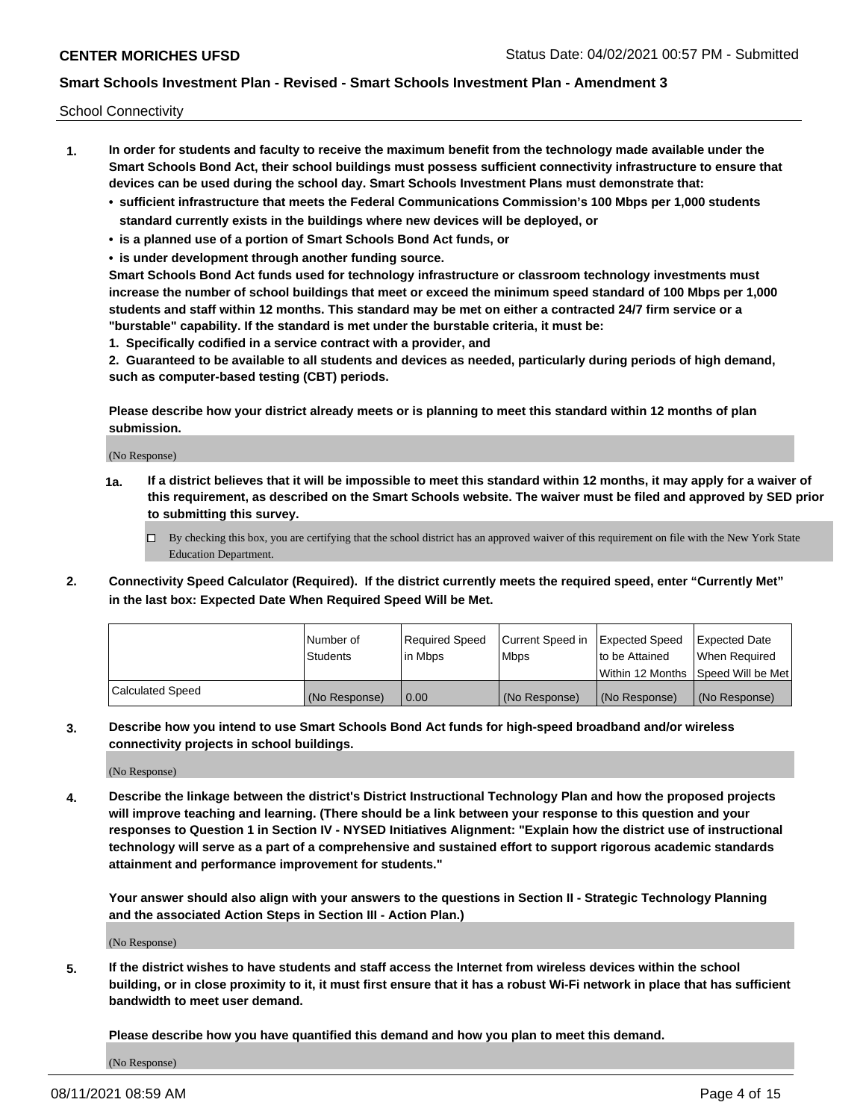School Connectivity

- **1. In order for students and faculty to receive the maximum benefit from the technology made available under the Smart Schools Bond Act, their school buildings must possess sufficient connectivity infrastructure to ensure that devices can be used during the school day. Smart Schools Investment Plans must demonstrate that:**
	- **• sufficient infrastructure that meets the Federal Communications Commission's 100 Mbps per 1,000 students standard currently exists in the buildings where new devices will be deployed, or**
	- **• is a planned use of a portion of Smart Schools Bond Act funds, or**
	- **• is under development through another funding source.**

**Smart Schools Bond Act funds used for technology infrastructure or classroom technology investments must increase the number of school buildings that meet or exceed the minimum speed standard of 100 Mbps per 1,000 students and staff within 12 months. This standard may be met on either a contracted 24/7 firm service or a "burstable" capability. If the standard is met under the burstable criteria, it must be:**

**1. Specifically codified in a service contract with a provider, and**

**2. Guaranteed to be available to all students and devices as needed, particularly during periods of high demand, such as computer-based testing (CBT) periods.**

**Please describe how your district already meets or is planning to meet this standard within 12 months of plan submission.**

(No Response)

**1a. If a district believes that it will be impossible to meet this standard within 12 months, it may apply for a waiver of this requirement, as described on the Smart Schools website. The waiver must be filed and approved by SED prior to submitting this survey.**

 $\Box$  By checking this box, you are certifying that the school district has an approved waiver of this requirement on file with the New York State Education Department.

**2. Connectivity Speed Calculator (Required). If the district currently meets the required speed, enter "Currently Met" in the last box: Expected Date When Required Speed Will be Met.**

|                  | l Number of     | Required Speed | Current Speed in | Expected Speed | Expected Date                           |
|------------------|-----------------|----------------|------------------|----------------|-----------------------------------------|
|                  | <b>Students</b> | In Mbps        | l Mbps           | to be Attained | When Required                           |
|                  |                 |                |                  |                | l Within 12 Months ISpeed Will be Met l |
| Calculated Speed | (No Response)   | 0.00           | (No Response)    | (No Response)  | (No Response)                           |

**3. Describe how you intend to use Smart Schools Bond Act funds for high-speed broadband and/or wireless connectivity projects in school buildings.**

(No Response)

**4. Describe the linkage between the district's District Instructional Technology Plan and how the proposed projects will improve teaching and learning. (There should be a link between your response to this question and your responses to Question 1 in Section IV - NYSED Initiatives Alignment: "Explain how the district use of instructional technology will serve as a part of a comprehensive and sustained effort to support rigorous academic standards attainment and performance improvement for students."** 

**Your answer should also align with your answers to the questions in Section II - Strategic Technology Planning and the associated Action Steps in Section III - Action Plan.)**

(No Response)

**5. If the district wishes to have students and staff access the Internet from wireless devices within the school building, or in close proximity to it, it must first ensure that it has a robust Wi-Fi network in place that has sufficient bandwidth to meet user demand.**

**Please describe how you have quantified this demand and how you plan to meet this demand.**

(No Response)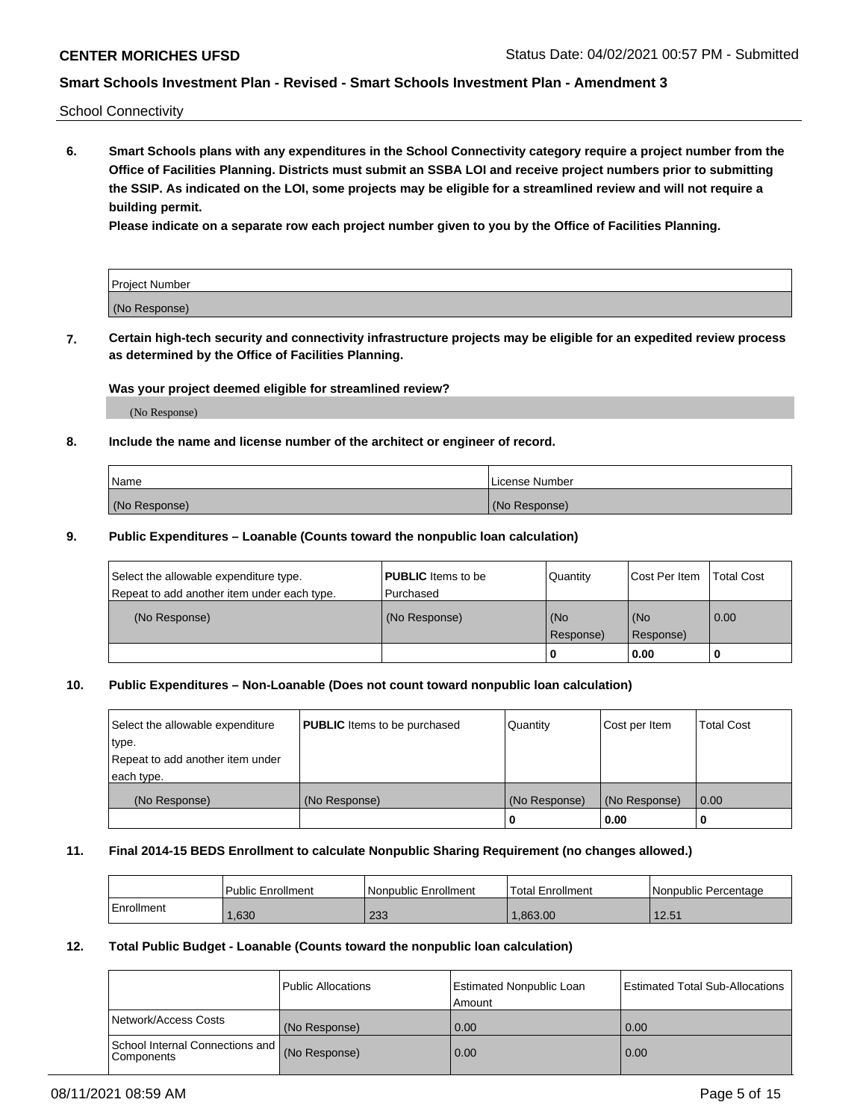School Connectivity

**6. Smart Schools plans with any expenditures in the School Connectivity category require a project number from the Office of Facilities Planning. Districts must submit an SSBA LOI and receive project numbers prior to submitting the SSIP. As indicated on the LOI, some projects may be eligible for a streamlined review and will not require a building permit.**

**Please indicate on a separate row each project number given to you by the Office of Facilities Planning.**

| Project Number |  |
|----------------|--|
| (No Response)  |  |

**7. Certain high-tech security and connectivity infrastructure projects may be eligible for an expedited review process as determined by the Office of Facilities Planning.**

## **Was your project deemed eligible for streamlined review?**

(No Response)

## **8. Include the name and license number of the architect or engineer of record.**

| Name          | License Number |
|---------------|----------------|
| (No Response) | (No Response)  |

## **9. Public Expenditures – Loanable (Counts toward the nonpublic loan calculation)**

| Select the allowable expenditure type.<br>Repeat to add another item under each type. | <b>PUBLIC</b> Items to be<br>l Purchased | Quantity           | Cost Per Item    | <b>Total Cost</b> |
|---------------------------------------------------------------------------------------|------------------------------------------|--------------------|------------------|-------------------|
| (No Response)                                                                         | (No Response)                            | l (No<br>Response) | (No<br>Response) | $\overline{0.00}$ |
|                                                                                       |                                          | O                  | 0.00             |                   |

## **10. Public Expenditures – Non-Loanable (Does not count toward nonpublic loan calculation)**

| Select the allowable expenditure<br>type.<br>Repeat to add another item under<br>each type. | <b>PUBLIC</b> Items to be purchased | Quantity      | Cost per Item | <b>Total Cost</b> |
|---------------------------------------------------------------------------------------------|-------------------------------------|---------------|---------------|-------------------|
| (No Response)                                                                               | (No Response)                       | (No Response) | (No Response) | 0.00              |
|                                                                                             |                                     |               | 0.00          |                   |

#### **11. Final 2014-15 BEDS Enrollment to calculate Nonpublic Sharing Requirement (no changes allowed.)**

|            | Public Enrollment | Nonpublic Enrollment | 'Total Enrollment | l Nonpublic Percentage |
|------------|-------------------|----------------------|-------------------|------------------------|
| Enrollment | .630              | റാറ<br>دد∠           | .863.00           | 12.51                  |

## **12. Total Public Budget - Loanable (Counts toward the nonpublic loan calculation)**

|                                                      | Public Allocations | <b>Estimated Nonpublic Loan</b><br>Amount | Estimated Total Sub-Allocations |
|------------------------------------------------------|--------------------|-------------------------------------------|---------------------------------|
| Network/Access Costs                                 | (No Response)      | 0.00                                      | 0.00                            |
| School Internal Connections and<br><b>Components</b> | (No Response)      | 0.00                                      | 0.00                            |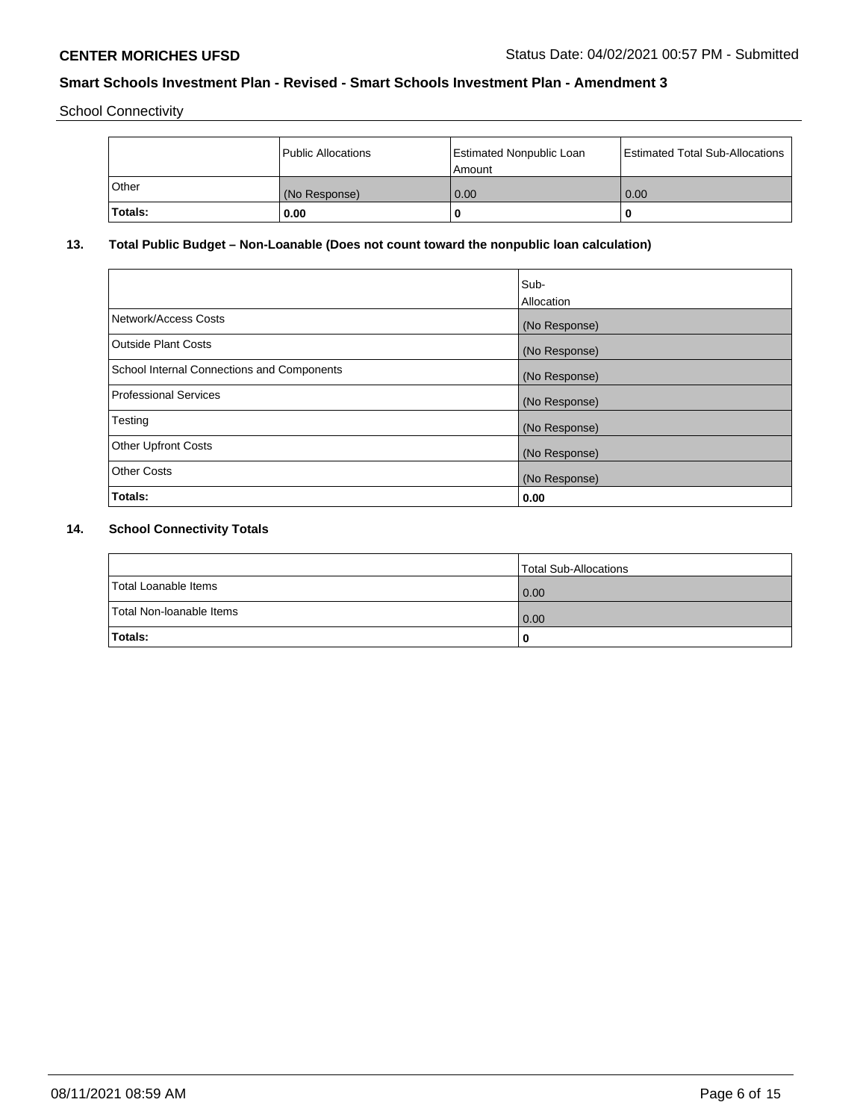School Connectivity

|         | <b>Public Allocations</b> | <b>Estimated Nonpublic Loan</b><br>Amount | <b>Estimated Total Sub-Allocations</b> |
|---------|---------------------------|-------------------------------------------|----------------------------------------|
| Other   | (No Response)             | 0.00                                      | 0.00                                   |
| Totals: | 0.00                      |                                           | O                                      |

# **13. Total Public Budget – Non-Loanable (Does not count toward the nonpublic loan calculation)**

|                                                   | Sub-<br>Allocation |
|---------------------------------------------------|--------------------|
| Network/Access Costs                              | (No Response)      |
| <b>Outside Plant Costs</b>                        | (No Response)      |
| <b>School Internal Connections and Components</b> | (No Response)      |
| Professional Services                             | (No Response)      |
| Testing                                           | (No Response)      |
| <b>Other Upfront Costs</b>                        | (No Response)      |
| <b>Other Costs</b>                                | (No Response)      |
| <b>Totals:</b>                                    | 0.00               |

# **14. School Connectivity Totals**

|                          | Total Sub-Allocations |
|--------------------------|-----------------------|
| Total Loanable Items     | 0.00                  |
| Total Non-Ioanable Items | $\overline{0.00}$     |
| Totals:                  |                       |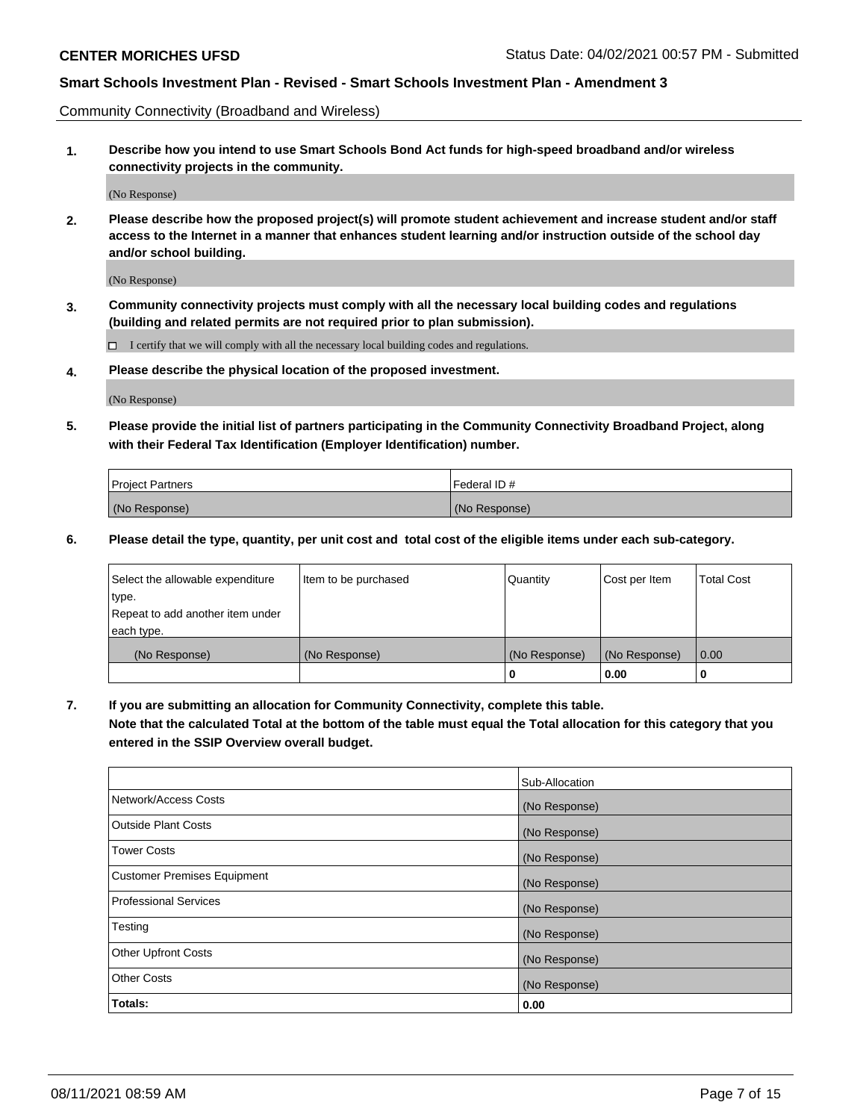Community Connectivity (Broadband and Wireless)

**1. Describe how you intend to use Smart Schools Bond Act funds for high-speed broadband and/or wireless connectivity projects in the community.**

(No Response)

**2. Please describe how the proposed project(s) will promote student achievement and increase student and/or staff access to the Internet in a manner that enhances student learning and/or instruction outside of the school day and/or school building.**

(No Response)

**3. Community connectivity projects must comply with all the necessary local building codes and regulations (building and related permits are not required prior to plan submission).**

 $\Box$  I certify that we will comply with all the necessary local building codes and regulations.

**4. Please describe the physical location of the proposed investment.**

(No Response)

**5. Please provide the initial list of partners participating in the Community Connectivity Broadband Project, along with their Federal Tax Identification (Employer Identification) number.**

| <b>Project Partners</b> | l Federal ID # |
|-------------------------|----------------|
| (No Response)           | (No Response)  |

**6. Please detail the type, quantity, per unit cost and total cost of the eligible items under each sub-category.**

| Select the allowable expenditure | Item to be purchased | Quantity      | Cost per Item | <b>Total Cost</b> |
|----------------------------------|----------------------|---------------|---------------|-------------------|
| type.                            |                      |               |               |                   |
| Repeat to add another item under |                      |               |               |                   |
| each type.                       |                      |               |               |                   |
| (No Response)                    | (No Response)        | (No Response) | (No Response) | 0.00              |
|                                  |                      | o             | 0.00          |                   |

**7. If you are submitting an allocation for Community Connectivity, complete this table.**

**Note that the calculated Total at the bottom of the table must equal the Total allocation for this category that you entered in the SSIP Overview overall budget.**

|                                    | Sub-Allocation |
|------------------------------------|----------------|
| Network/Access Costs               | (No Response)  |
| Outside Plant Costs                | (No Response)  |
| <b>Tower Costs</b>                 | (No Response)  |
| <b>Customer Premises Equipment</b> | (No Response)  |
| <b>Professional Services</b>       | (No Response)  |
| Testing                            | (No Response)  |
| <b>Other Upfront Costs</b>         | (No Response)  |
| <b>Other Costs</b>                 | (No Response)  |
| Totals:                            | 0.00           |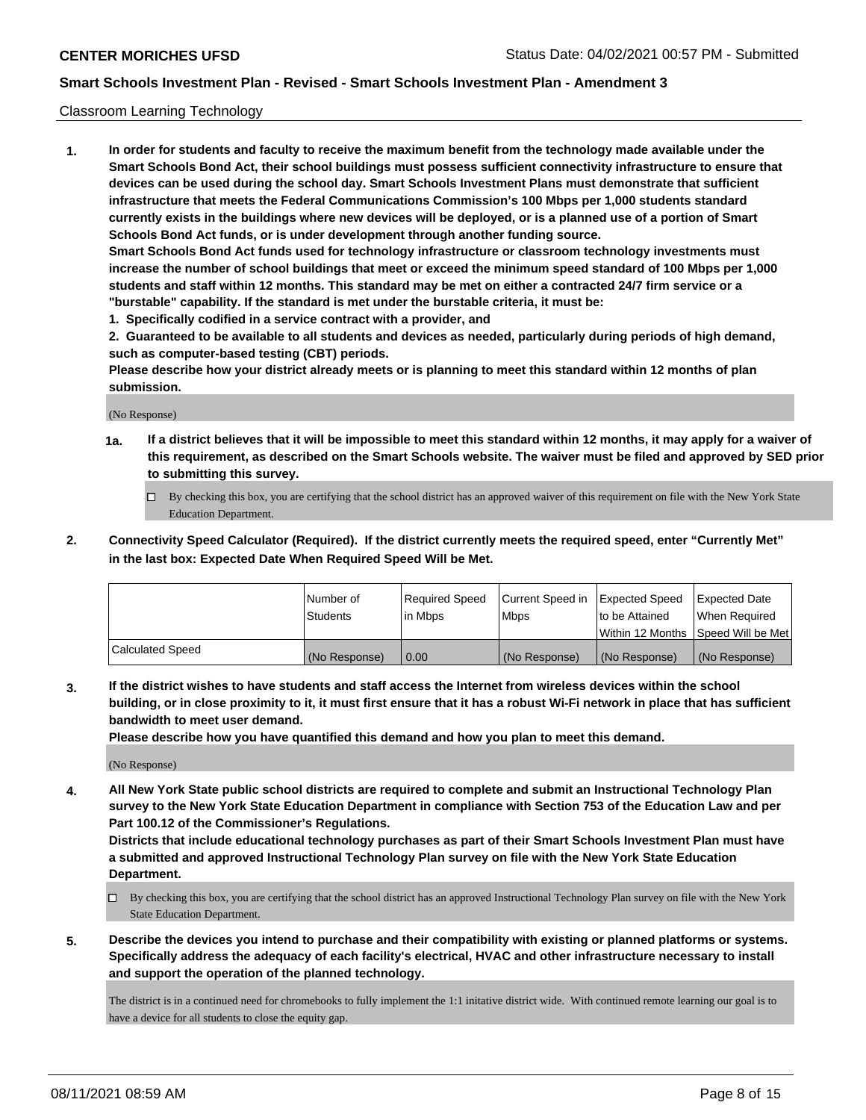## Classroom Learning Technology

**1. In order for students and faculty to receive the maximum benefit from the technology made available under the Smart Schools Bond Act, their school buildings must possess sufficient connectivity infrastructure to ensure that devices can be used during the school day. Smart Schools Investment Plans must demonstrate that sufficient infrastructure that meets the Federal Communications Commission's 100 Mbps per 1,000 students standard currently exists in the buildings where new devices will be deployed, or is a planned use of a portion of Smart Schools Bond Act funds, or is under development through another funding source. Smart Schools Bond Act funds used for technology infrastructure or classroom technology investments must increase the number of school buildings that meet or exceed the minimum speed standard of 100 Mbps per 1,000 students and staff within 12 months. This standard may be met on either a contracted 24/7 firm service or a "burstable" capability. If the standard is met under the burstable criteria, it must be:**

**1. Specifically codified in a service contract with a provider, and**

**2. Guaranteed to be available to all students and devices as needed, particularly during periods of high demand, such as computer-based testing (CBT) periods.**

**Please describe how your district already meets or is planning to meet this standard within 12 months of plan submission.**

(No Response)

- **1a. If a district believes that it will be impossible to meet this standard within 12 months, it may apply for a waiver of this requirement, as described on the Smart Schools website. The waiver must be filed and approved by SED prior to submitting this survey.**
	- By checking this box, you are certifying that the school district has an approved waiver of this requirement on file with the New York State Education Department.
- **2. Connectivity Speed Calculator (Required). If the district currently meets the required speed, enter "Currently Met" in the last box: Expected Date When Required Speed Will be Met.**

|                         | Number of     | Required Speed | Current Speed in | Expected Speed | <b>Expected Date</b>                 |
|-------------------------|---------------|----------------|------------------|----------------|--------------------------------------|
|                         | Students      | l in Mbps      | <b>Mbps</b>      | to be Attained | When Reauired                        |
|                         |               |                |                  |                | Within 12 Months 1Speed Will be Met1 |
| <b>Calculated Speed</b> | (No Response) | 0.00           | (No Response)    | (No Response)  | (No Response)                        |

**3. If the district wishes to have students and staff access the Internet from wireless devices within the school building, or in close proximity to it, it must first ensure that it has a robust Wi-Fi network in place that has sufficient bandwidth to meet user demand.**

**Please describe how you have quantified this demand and how you plan to meet this demand.**

(No Response)

**4. All New York State public school districts are required to complete and submit an Instructional Technology Plan survey to the New York State Education Department in compliance with Section 753 of the Education Law and per Part 100.12 of the Commissioner's Regulations.**

**Districts that include educational technology purchases as part of their Smart Schools Investment Plan must have a submitted and approved Instructional Technology Plan survey on file with the New York State Education Department.**

- By checking this box, you are certifying that the school district has an approved Instructional Technology Plan survey on file with the New York State Education Department.
- **5. Describe the devices you intend to purchase and their compatibility with existing or planned platforms or systems. Specifically address the adequacy of each facility's electrical, HVAC and other infrastructure necessary to install and support the operation of the planned technology.**

The district is in a continued need for chromebooks to fully implement the 1:1 initative district wide. With continued remote learning our goal is to have a device for all students to close the equity gap.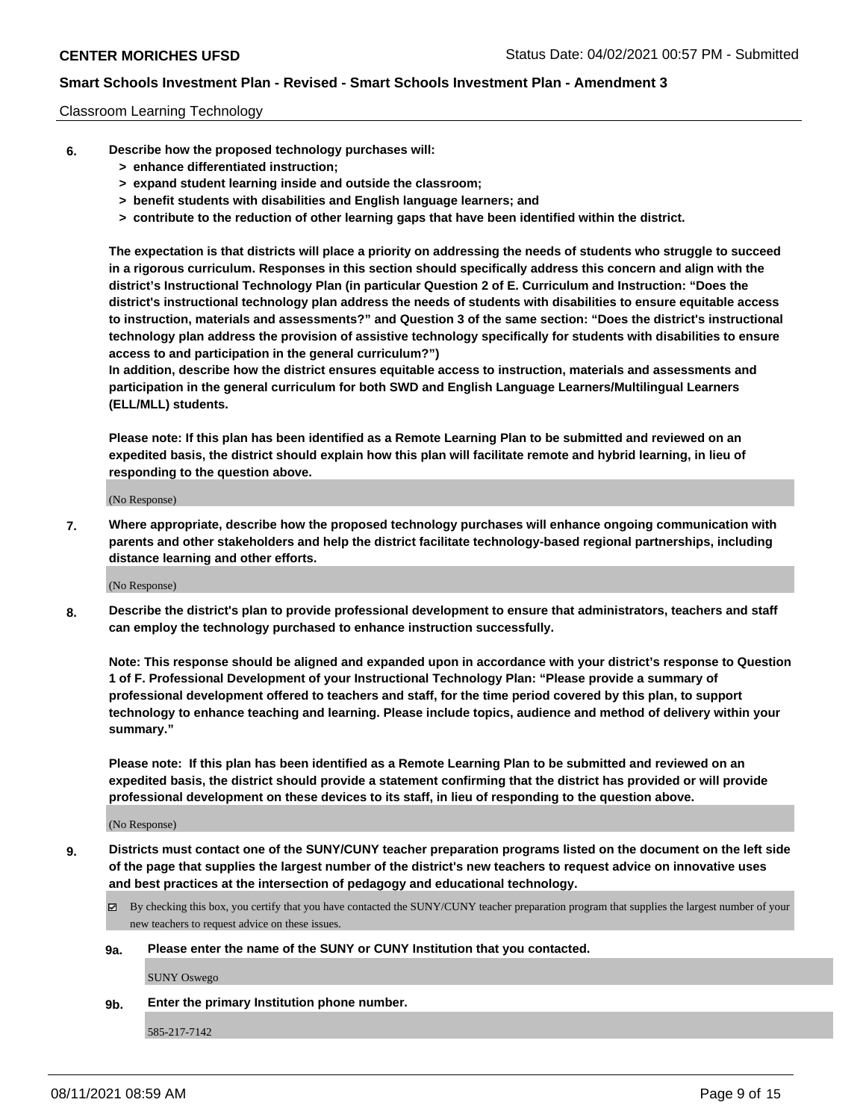## Classroom Learning Technology

- **6. Describe how the proposed technology purchases will:**
	- **> enhance differentiated instruction;**
	- **> expand student learning inside and outside the classroom;**
	- **> benefit students with disabilities and English language learners; and**
	- **> contribute to the reduction of other learning gaps that have been identified within the district.**

**The expectation is that districts will place a priority on addressing the needs of students who struggle to succeed in a rigorous curriculum. Responses in this section should specifically address this concern and align with the district's Instructional Technology Plan (in particular Question 2 of E. Curriculum and Instruction: "Does the district's instructional technology plan address the needs of students with disabilities to ensure equitable access to instruction, materials and assessments?" and Question 3 of the same section: "Does the district's instructional technology plan address the provision of assistive technology specifically for students with disabilities to ensure access to and participation in the general curriculum?")**

**In addition, describe how the district ensures equitable access to instruction, materials and assessments and participation in the general curriculum for both SWD and English Language Learners/Multilingual Learners (ELL/MLL) students.**

**Please note: If this plan has been identified as a Remote Learning Plan to be submitted and reviewed on an expedited basis, the district should explain how this plan will facilitate remote and hybrid learning, in lieu of responding to the question above.**

(No Response)

**7. Where appropriate, describe how the proposed technology purchases will enhance ongoing communication with parents and other stakeholders and help the district facilitate technology-based regional partnerships, including distance learning and other efforts.**

(No Response)

**8. Describe the district's plan to provide professional development to ensure that administrators, teachers and staff can employ the technology purchased to enhance instruction successfully.**

**Note: This response should be aligned and expanded upon in accordance with your district's response to Question 1 of F. Professional Development of your Instructional Technology Plan: "Please provide a summary of professional development offered to teachers and staff, for the time period covered by this plan, to support technology to enhance teaching and learning. Please include topics, audience and method of delivery within your summary."**

**Please note: If this plan has been identified as a Remote Learning Plan to be submitted and reviewed on an expedited basis, the district should provide a statement confirming that the district has provided or will provide professional development on these devices to its staff, in lieu of responding to the question above.**

(No Response)

- **9. Districts must contact one of the SUNY/CUNY teacher preparation programs listed on the document on the left side of the page that supplies the largest number of the district's new teachers to request advice on innovative uses and best practices at the intersection of pedagogy and educational technology.**
	- $\boxtimes$  By checking this box, you certify that you have contacted the SUNY/CUNY teacher preparation program that supplies the largest number of your new teachers to request advice on these issues.

#### **9a. Please enter the name of the SUNY or CUNY Institution that you contacted.**

SUNY Oswego

**9b. Enter the primary Institution phone number.**

585-217-7142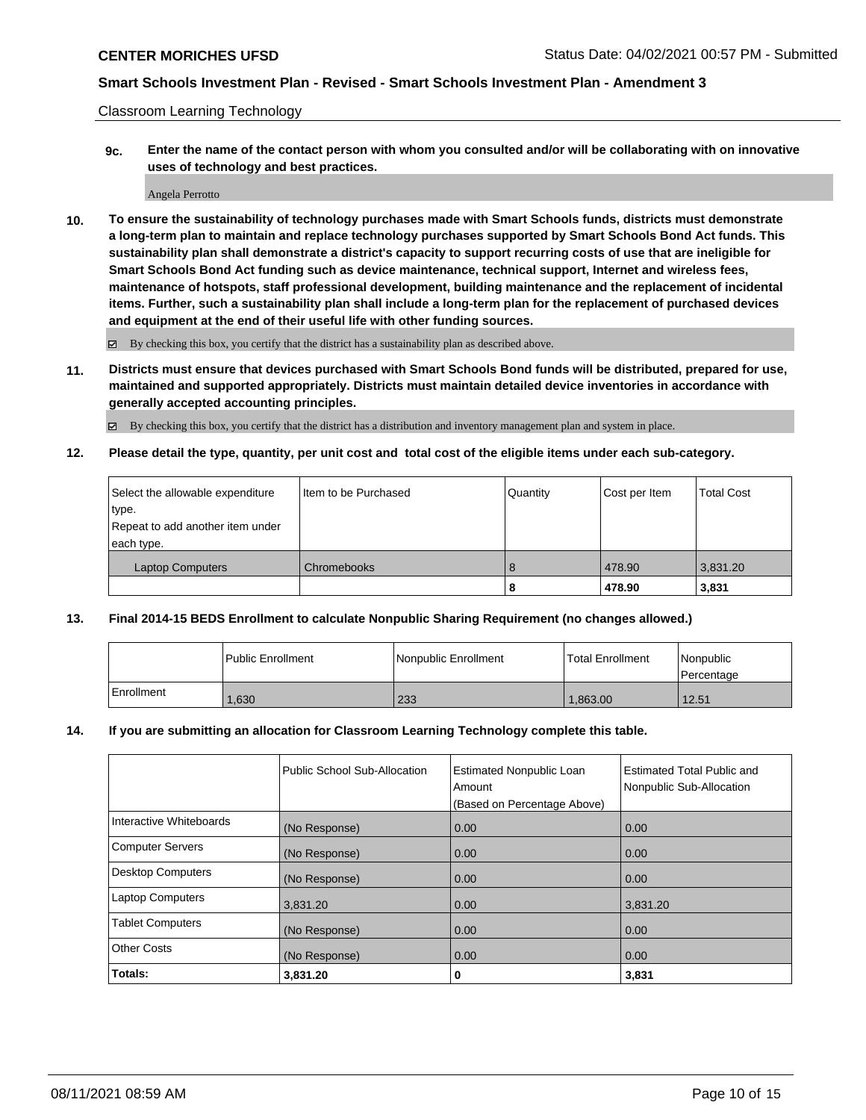Classroom Learning Technology

**9c. Enter the name of the contact person with whom you consulted and/or will be collaborating with on innovative uses of technology and best practices.**

Angela Perrotto

**10. To ensure the sustainability of technology purchases made with Smart Schools funds, districts must demonstrate a long-term plan to maintain and replace technology purchases supported by Smart Schools Bond Act funds. This sustainability plan shall demonstrate a district's capacity to support recurring costs of use that are ineligible for Smart Schools Bond Act funding such as device maintenance, technical support, Internet and wireless fees, maintenance of hotspots, staff professional development, building maintenance and the replacement of incidental items. Further, such a sustainability plan shall include a long-term plan for the replacement of purchased devices and equipment at the end of their useful life with other funding sources.**

By checking this box, you certify that the district has a sustainability plan as described above.

**11. Districts must ensure that devices purchased with Smart Schools Bond funds will be distributed, prepared for use, maintained and supported appropriately. Districts must maintain detailed device inventories in accordance with generally accepted accounting principles.**

By checking this box, you certify that the district has a distribution and inventory management plan and system in place.

**12. Please detail the type, quantity, per unit cost and total cost of the eligible items under each sub-category.**

| Chromebooks | 8 |   | 3,831.20<br>3,831 |
|-------------|---|---|-------------------|
|             |   | 8 | 478.90<br>478.90  |

## **13. Final 2014-15 BEDS Enrollment to calculate Nonpublic Sharing Requirement (no changes allowed.)**

|              | l Public Enrollment | Nonpublic Enrollment | <b>Total Enrollment</b> | <i>Nonpublic</i><br>l Percentage |
|--------------|---------------------|----------------------|-------------------------|----------------------------------|
| l Enrollment | 1.630               | 233                  | 1.863.00                | 12.51                            |

#### **14. If you are submitting an allocation for Classroom Learning Technology complete this table.**

|                          | Public School Sub-Allocation | <b>Estimated Nonpublic Loan</b><br>Amount | Estimated Total Public and<br>Nonpublic Sub-Allocation |
|--------------------------|------------------------------|-------------------------------------------|--------------------------------------------------------|
|                          |                              | (Based on Percentage Above)               |                                                        |
| Interactive Whiteboards  | (No Response)                | 0.00                                      | 0.00                                                   |
| <b>Computer Servers</b>  | (No Response)                | 0.00                                      | 0.00                                                   |
| <b>Desktop Computers</b> | (No Response)                | 0.00                                      | 0.00                                                   |
| <b>Laptop Computers</b>  | 3,831.20                     | 0.00                                      | 3,831.20                                               |
| <b>Tablet Computers</b>  | (No Response)                | 0.00                                      | 0.00                                                   |
| <b>Other Costs</b>       | (No Response)                | 0.00                                      | 0.00                                                   |
| Totals:                  | 3,831.20                     | 0                                         | 3,831                                                  |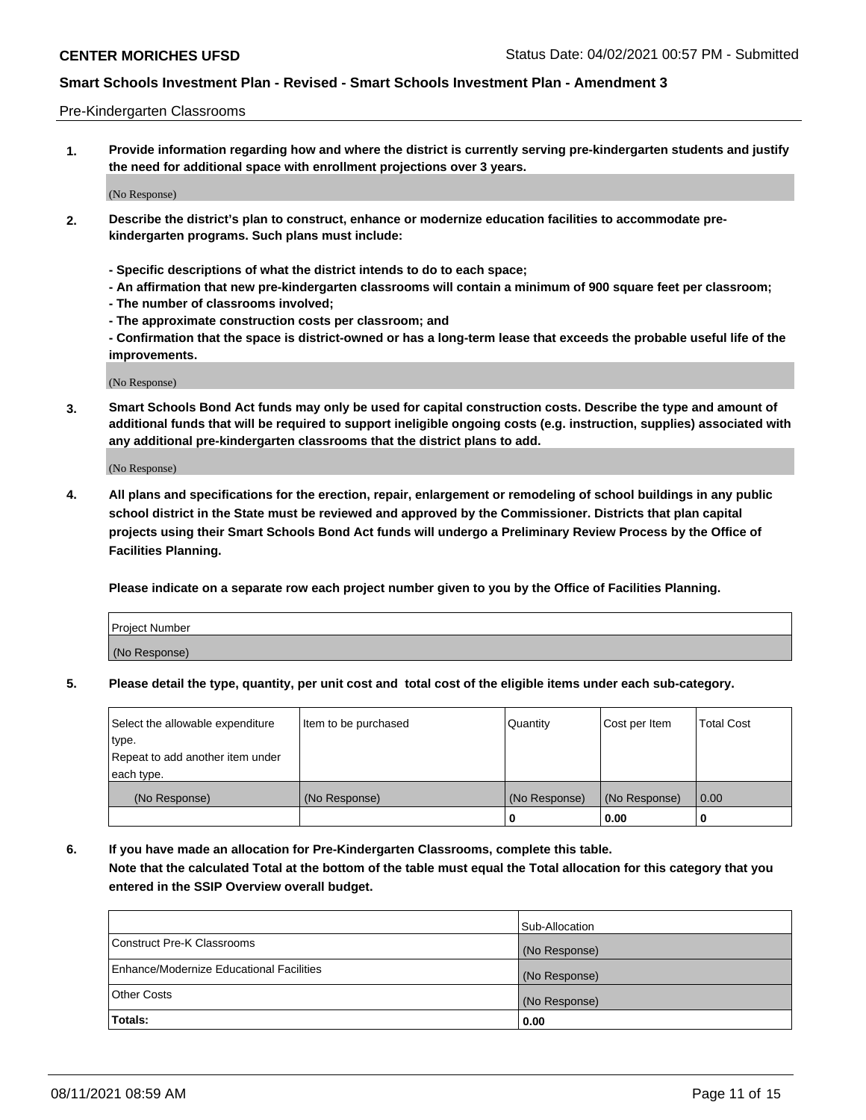#### Pre-Kindergarten Classrooms

**1. Provide information regarding how and where the district is currently serving pre-kindergarten students and justify the need for additional space with enrollment projections over 3 years.**

(No Response)

- **2. Describe the district's plan to construct, enhance or modernize education facilities to accommodate prekindergarten programs. Such plans must include:**
	- **Specific descriptions of what the district intends to do to each space;**
	- **An affirmation that new pre-kindergarten classrooms will contain a minimum of 900 square feet per classroom;**
	- **The number of classrooms involved;**
	- **The approximate construction costs per classroom; and**
	- **Confirmation that the space is district-owned or has a long-term lease that exceeds the probable useful life of the improvements.**

(No Response)

**3. Smart Schools Bond Act funds may only be used for capital construction costs. Describe the type and amount of additional funds that will be required to support ineligible ongoing costs (e.g. instruction, supplies) associated with any additional pre-kindergarten classrooms that the district plans to add.**

(No Response)

**4. All plans and specifications for the erection, repair, enlargement or remodeling of school buildings in any public school district in the State must be reviewed and approved by the Commissioner. Districts that plan capital projects using their Smart Schools Bond Act funds will undergo a Preliminary Review Process by the Office of Facilities Planning.**

**Please indicate on a separate row each project number given to you by the Office of Facilities Planning.**

| Project Number |  |
|----------------|--|
| (No Response)  |  |
|                |  |

**5. Please detail the type, quantity, per unit cost and total cost of the eligible items under each sub-category.**

| Select the allowable expenditure | Item to be purchased | Quantity      | Cost per Item | <b>Total Cost</b> |
|----------------------------------|----------------------|---------------|---------------|-------------------|
| type.                            |                      |               |               |                   |
| Repeat to add another item under |                      |               |               |                   |
| each type.                       |                      |               |               |                   |
| (No Response)                    | (No Response)        | (No Response) | (No Response) | 0.00              |
|                                  |                      | U             | 0.00          |                   |

**6. If you have made an allocation for Pre-Kindergarten Classrooms, complete this table. Note that the calculated Total at the bottom of the table must equal the Total allocation for this category that you entered in the SSIP Overview overall budget.**

|                                          | Sub-Allocation |
|------------------------------------------|----------------|
| Construct Pre-K Classrooms               | (No Response)  |
| Enhance/Modernize Educational Facilities | (No Response)  |
| <b>Other Costs</b>                       | (No Response)  |
| Totals:                                  | 0.00           |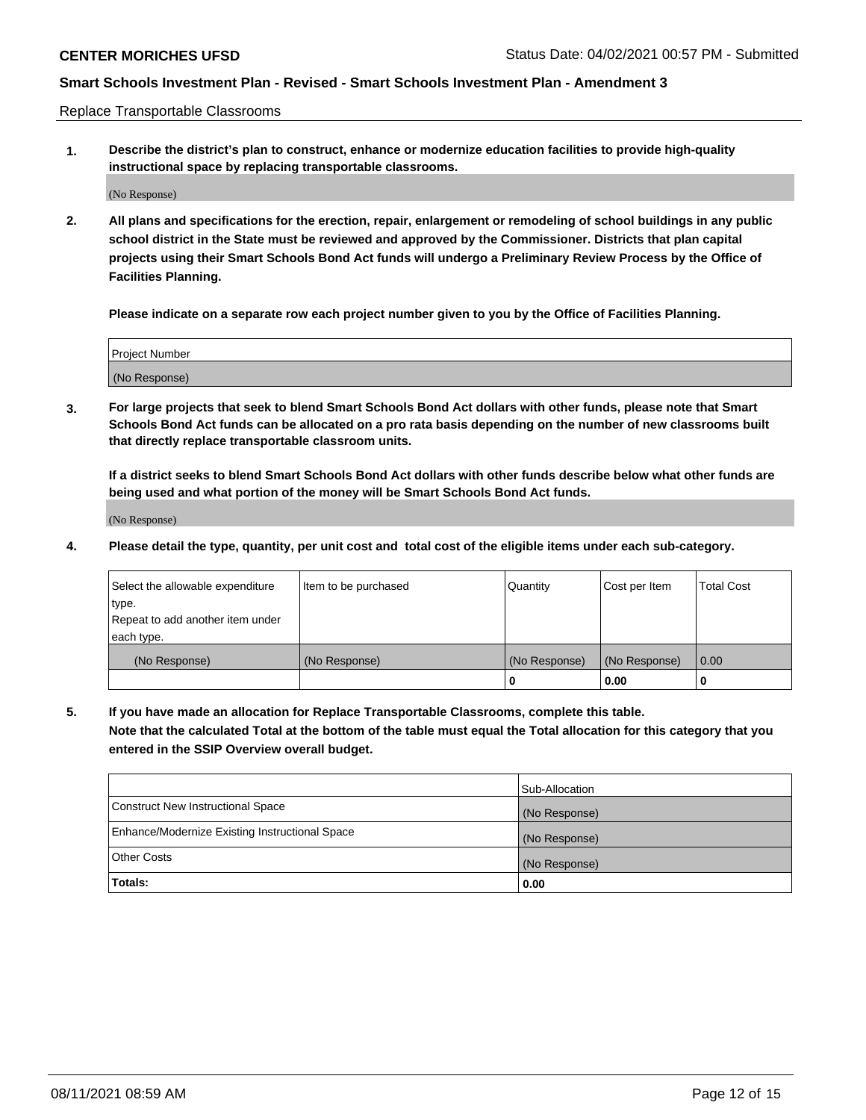Replace Transportable Classrooms

**1. Describe the district's plan to construct, enhance or modernize education facilities to provide high-quality instructional space by replacing transportable classrooms.**

(No Response)

**2. All plans and specifications for the erection, repair, enlargement or remodeling of school buildings in any public school district in the State must be reviewed and approved by the Commissioner. Districts that plan capital projects using their Smart Schools Bond Act funds will undergo a Preliminary Review Process by the Office of Facilities Planning.**

**Please indicate on a separate row each project number given to you by the Office of Facilities Planning.**

| Project Number |  |
|----------------|--|
|                |  |
|                |  |
|                |  |
|                |  |
| (No Response)  |  |
|                |  |
|                |  |
|                |  |

**3. For large projects that seek to blend Smart Schools Bond Act dollars with other funds, please note that Smart Schools Bond Act funds can be allocated on a pro rata basis depending on the number of new classrooms built that directly replace transportable classroom units.**

**If a district seeks to blend Smart Schools Bond Act dollars with other funds describe below what other funds are being used and what portion of the money will be Smart Schools Bond Act funds.**

(No Response)

**4. Please detail the type, quantity, per unit cost and total cost of the eligible items under each sub-category.**

| Select the allowable expenditure | Item to be purchased | Quantity      | Cost per Item | Total Cost |
|----------------------------------|----------------------|---------------|---------------|------------|
| ∣type.                           |                      |               |               |            |
| Repeat to add another item under |                      |               |               |            |
| each type.                       |                      |               |               |            |
| (No Response)                    | (No Response)        | (No Response) | (No Response) | 0.00       |
|                                  |                      | u             | 0.00          |            |

**5. If you have made an allocation for Replace Transportable Classrooms, complete this table. Note that the calculated Total at the bottom of the table must equal the Total allocation for this category that you entered in the SSIP Overview overall budget.**

|                                                | Sub-Allocation |
|------------------------------------------------|----------------|
| Construct New Instructional Space              | (No Response)  |
| Enhance/Modernize Existing Instructional Space | (No Response)  |
| <b>Other Costs</b>                             | (No Response)  |
| Totals:                                        | 0.00           |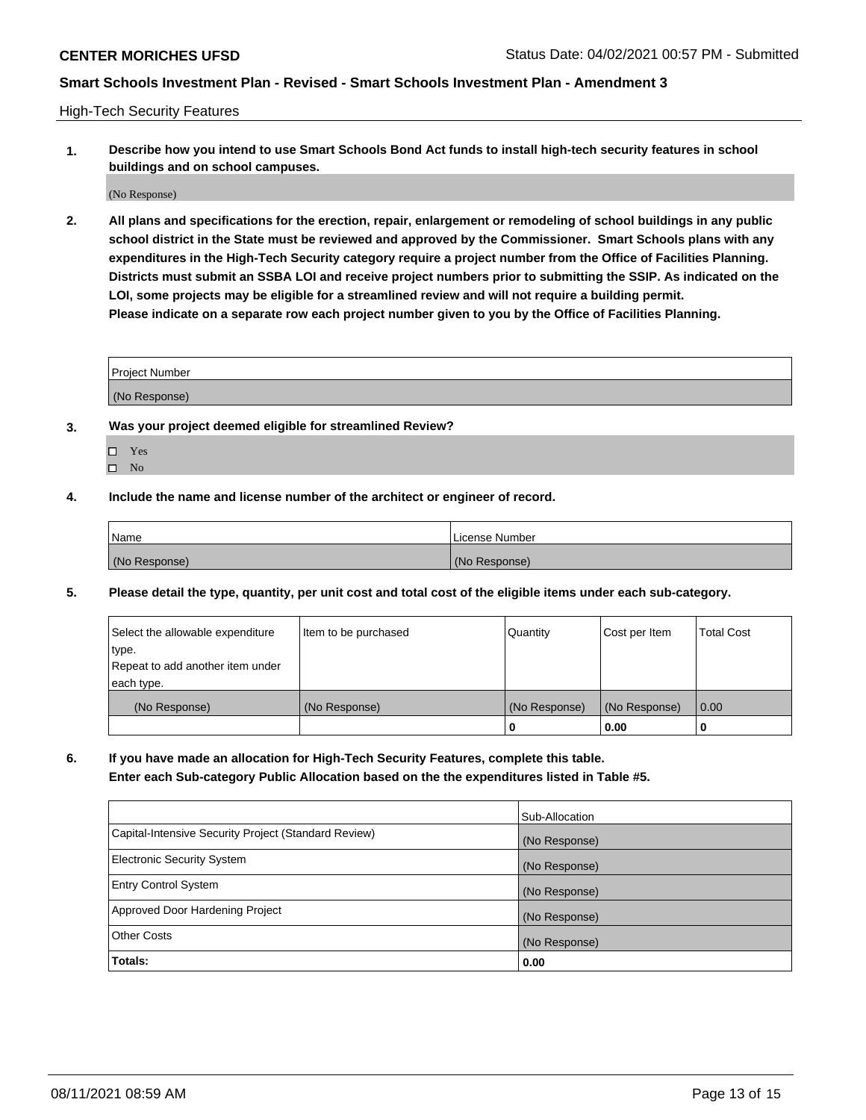High-Tech Security Features

**1. Describe how you intend to use Smart Schools Bond Act funds to install high-tech security features in school buildings and on school campuses.**

(No Response)

**2. All plans and specifications for the erection, repair, enlargement or remodeling of school buildings in any public school district in the State must be reviewed and approved by the Commissioner. Smart Schools plans with any expenditures in the High-Tech Security category require a project number from the Office of Facilities Planning. Districts must submit an SSBA LOI and receive project numbers prior to submitting the SSIP. As indicated on the LOI, some projects may be eligible for a streamlined review and will not require a building permit. Please indicate on a separate row each project number given to you by the Office of Facilities Planning.**

| <b>Project Number</b> |  |
|-----------------------|--|
|                       |  |
| (No Response)         |  |

- **3. Was your project deemed eligible for streamlined Review?**
	- Yes
	- $\hfill \Box$  No
- **4. Include the name and license number of the architect or engineer of record.**

| <b>Name</b>   | License Number |
|---------------|----------------|
| (No Response) | (No Response)  |

**5. Please detail the type, quantity, per unit cost and total cost of the eligible items under each sub-category.**

| Select the allowable expenditure | Item to be purchased | Quantity      | Cost per Item | <b>Total Cost</b> |
|----------------------------------|----------------------|---------------|---------------|-------------------|
| type.                            |                      |               |               |                   |
| Repeat to add another item under |                      |               |               |                   |
| each type.                       |                      |               |               |                   |
| (No Response)                    | (No Response)        | (No Response) | (No Response) | 0.00              |
|                                  |                      | 0             | 0.00          |                   |

**6. If you have made an allocation for High-Tech Security Features, complete this table.**

**Enter each Sub-category Public Allocation based on the the expenditures listed in Table #5.**

|                                                      | Sub-Allocation |
|------------------------------------------------------|----------------|
| Capital-Intensive Security Project (Standard Review) | (No Response)  |
| <b>Electronic Security System</b>                    | (No Response)  |
| <b>Entry Control System</b>                          | (No Response)  |
| Approved Door Hardening Project                      | (No Response)  |
| <b>Other Costs</b>                                   | (No Response)  |
| Totals:                                              | 0.00           |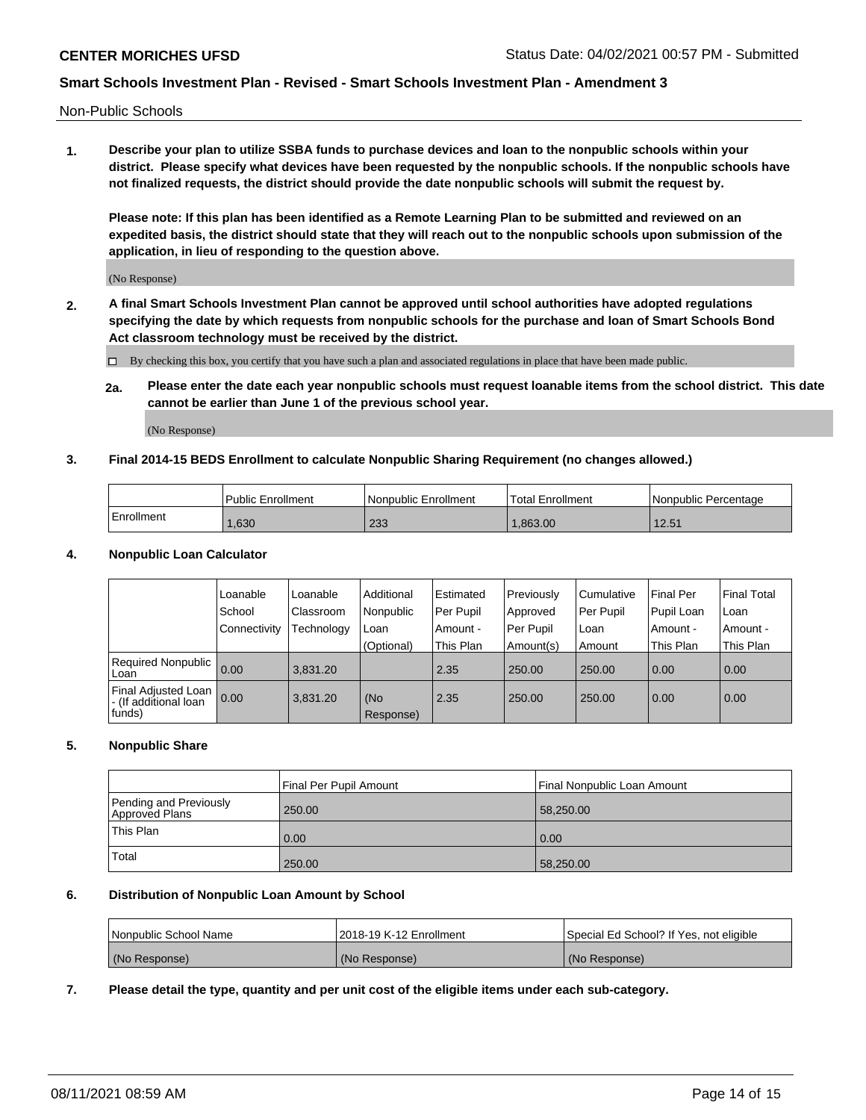Non-Public Schools

**1. Describe your plan to utilize SSBA funds to purchase devices and loan to the nonpublic schools within your district. Please specify what devices have been requested by the nonpublic schools. If the nonpublic schools have not finalized requests, the district should provide the date nonpublic schools will submit the request by.**

**Please note: If this plan has been identified as a Remote Learning Plan to be submitted and reviewed on an expedited basis, the district should state that they will reach out to the nonpublic schools upon submission of the application, in lieu of responding to the question above.**

(No Response)

**2. A final Smart Schools Investment Plan cannot be approved until school authorities have adopted regulations specifying the date by which requests from nonpublic schools for the purchase and loan of Smart Schools Bond Act classroom technology must be received by the district.**

By checking this box, you certify that you have such a plan and associated regulations in place that have been made public.

**2a. Please enter the date each year nonpublic schools must request loanable items from the school district. This date cannot be earlier than June 1 of the previous school year.**

(No Response)

## **3. Final 2014-15 BEDS Enrollment to calculate Nonpublic Sharing Requirement (no changes allowed.)**

|              | <b>Public Enrollment</b> | <b>Nonpublic Enrollment</b> | Total Enrollment | Nonpublic Percentage |
|--------------|--------------------------|-----------------------------|------------------|----------------------|
| l Enrollment | .630                     | 233                         | .863.00          | 12.51                |

#### **4. Nonpublic Loan Calculator**

|                                                          | 'Loanable      | Loanable   | Additional       | Estimated | Previously | l Cumulative | Final Per  | <b>Final Total</b> |
|----------------------------------------------------------|----------------|------------|------------------|-----------|------------|--------------|------------|--------------------|
|                                                          | School         | Classroom  | Nonpublic        | Per Pupil | Approved   | Per Pupil    | Pupil Loan | Loan               |
|                                                          | l Connectivity | Fechnology | Loan             | Amount -  | Per Pupil  | l Loan       | Amount -   | Amount -           |
|                                                          |                |            | (Optional)       | This Plan | Amount(s)  | Amount       | This Plan  | This Plan          |
| Required Nonpublic 0.00<br>Loan                          |                | 3.831.20   |                  | 2.35      | 250.00     | 250.00       | 0.00       | 0.00               |
| Final Adjusted Loan  <br>- (If additional loan<br>funds) | 0.00           | 3.831.20   | (No<br>Response) | 2.35      | 250.00     | 250.00       | 0.00       | 0.00               |

## **5. Nonpublic Share**

|                                          | Final Per Pupil Amount | l Final Nonpublic Loan Amount |
|------------------------------------------|------------------------|-------------------------------|
| Pending and Previously<br>Approved Plans | 250.00                 | 58,250.00                     |
| <b>This Plan</b>                         | 0.00                   | 0.00                          |
| Total                                    | 250.00                 | 58,250.00                     |

## **6. Distribution of Nonpublic Loan Amount by School**

| Nonpublic School Name | 2018-19 K-12 Enrollment | Special Ed School? If Yes, not eligible |
|-----------------------|-------------------------|-----------------------------------------|
| (No Response)         | (No Response)           | (No Response)                           |

**7. Please detail the type, quantity and per unit cost of the eligible items under each sub-category.**